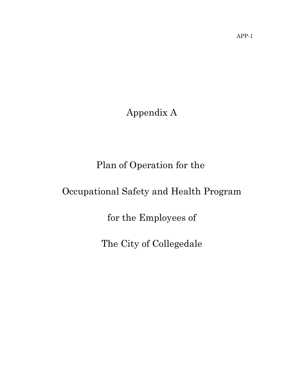Appendix A

Plan of Operation for the

# Occupational Safety and Health Program

for the Employees of

The City of Collegedale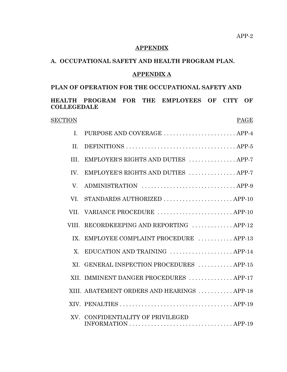## **APPENDIX**

#### **A. OCCUPATIONAL SAFETY AND HEALTH PROGRAM PLAN.**

## **APPENDIX A**

## **PLAN OF OPERATION FOR THE OCCUPATIONAL SAFETY AND**

## **HEALTH PROGRAM FOR THE EMPLOYEES OF CITY OF COLLEGEDALE**

#### SECTION PAGE

| $\mathbf{I}$ . | PURPOSE AND COVERAGE  APP-4                                                                                                        |
|----------------|------------------------------------------------------------------------------------------------------------------------------------|
| II.            |                                                                                                                                    |
| III.           | EMPLOYER'S RIGHTS AND DUTIES  APP-7                                                                                                |
| IV.            | EMPLOYEE'S RIGHTS AND DUTIES  APP-7                                                                                                |
| V.             | ADMINISTRATION  APP-9                                                                                                              |
| VI.            | STANDARDS AUTHORIZED APP-10                                                                                                        |
| VII.           | VARIANCE PROCEDURE  APP-10                                                                                                         |
|                | VIII. RECORDKEEPING AND REPORTING  APP-12                                                                                          |
| IX.            | EMPLOYEE COMPLAINT PROCEDURE  APP-13                                                                                               |
| X.             | EDUCATION AND TRAINING  APP-14                                                                                                     |
| XI.            | GENERAL INSPECTION PROCEDURES  APP-15                                                                                              |
|                | XII. IMMINENT DANGER PROCEDURES  APP-17                                                                                            |
|                | XIII. ABATEMENT ORDERS AND HEARINGS  APP-18                                                                                        |
|                |                                                                                                                                    |
| XV.            | CONFIDENTIALITY OF PRIVILEGED<br>$INFORMATION \ldots \ldots \ldots \ldots \ldots \ldots \ldots \ldots \ldots \ldots \text{APP-19}$ |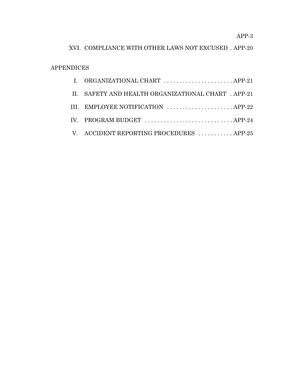APP-3

## XVI. COMPLIANCE WITH OTHER LAWS NOT EXCUSED . APP-20

## APPENDICES

| I. ORGANIZATIONAL CHART  APP-21                     |
|-----------------------------------------------------|
| II. SAFETY AND HEALTH ORGANIZATIONAL CHART . APP-21 |
| III. EMPLOYEE NOTIFICATION  APP-22                  |
| IV. PROGRAM BUDGET  APP-24                          |
| V. ACCIDENT REPORTING PROCEDURES APP-25             |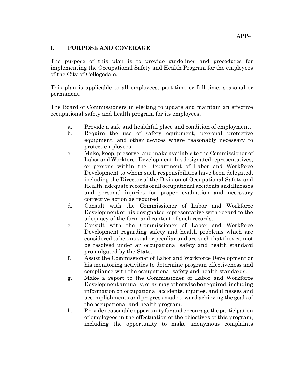## **I. PURPOSE AND COVERAGE**

The purpose of this plan is to provide guidelines and procedures for implementing the Occupational Safety and Health Program for the employees of the City of Collegedale.

This plan is applicable to all employees, part-time or full-time, seasonal or permanent.

The Board of Commissioners in electing to update and maintain an effective occupational safety and health program for its employees,

- a. Provide a safe and healthful place and condition of employment.
- b. Require the use of safety equipment, personal protective equipment, and other devices where reasonably necessary to protect employees.
- c. Make, keep, preserve, and make available to the Commissioner of Labor and Workforce Development, his designated representatives, or persons within the Department of Labor and Workforce Development to whom such responsibilities have been delegated, including the Director of the Division of Occupational Safety and Health, adequate records of all occupational accidents and illnesses and personal injuries for proper evaluation and necessary corrective action as required.
- d. Consult with the Commissioner of Labor and Workforce Development or his designated representative with regard to the adequacy of the form and content of such records.
- e. Consult with the Commissioner of Labor and Workforce Development regarding safety and health problems which are considered to be unusual or peculiar and are such that they cannot be resolved under an occupational safety and health standard promulgated by the State.
- f. Assist the Commissioner of Labor and Workforce Development or his monitoring activities to determine program effectiveness and compliance with the occupational safety and health standards.
- g. Make a report to the Commissioner of Labor and Workforce Development annually, or as may otherwise be required, including information on occupational accidents, injuries, and illnesses and accomplishments and progress made toward achieving the goals of the occupational and health program.
- h. Provide reasonable opportunity for and encourage the participation of employees in the effectuation of the objectives of this program, including the opportunity to make anonymous complaints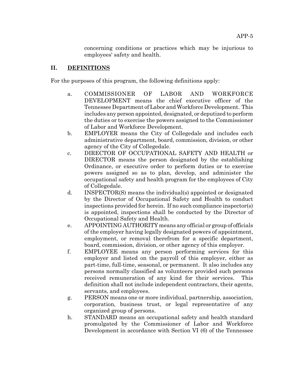concerning conditions or practices which may be injurious to employees' safety and health.

## **II. DEFINITIONS**

For the purposes of this program, the following definitions apply:

- a. COMMISSIONER OF LABOR AND WORKFORCE DEVELOPMENT means the chief executive officer of the Tennessee Department of Labor and Workforce Development. This includes any person appointed, designated, or deputized to perform the duties or to exercise the powers assigned to the Commissioner of Labor and Workforce Development.
- b. EMPLOYER means the City of Collegedale and includes each administrative department, board, commission, division, or other agency of the City of Collegedale.
- c. DIRECTOR OF OCCUPATIONAL SAFETY AND HEALTH or DIRECTOR means the person designated by the establishing Ordinance, or executive order to perform duties or to exercise powers assigned so as to plan, develop, and administer the occupational safety and health program for the employees of City of Collegedale.
- d. INSPECTOR(S) means the individual(s) appointed or designated by the Director of Occupational Safety and Health to conduct inspections provided for herein. If no such compliance inspector(s) is appointed, inspections shall be conducted by the Director of Occupational Safety and Health.
- e. APPOINTING AUTHORITY means any official or group of officials of the employer having legally designated powers of appointment, employment, or removal therefrom for a specific department, board, commission, division, or other agency of this employer.
- f. EMPLOYEE means any person performing services for this employer and listed on the payroll of this employer, either as part-time, full-time, seasonal, or permanent. It also includes any persons normally classified as volunteers provided such persons received remuneration of any kind for their services. This definition shall not include independent contractors, their agents, servants, and employees.
- g. PERSON means one or more individual, partnership, association, corporation, business trust, or legal representative of any organized group of persons.
- h. STANDARD means an occupational safety and health standard promulgated by the Commissioner of Labor and Workforce Development in accordance with Section VI (6) of the Tennessee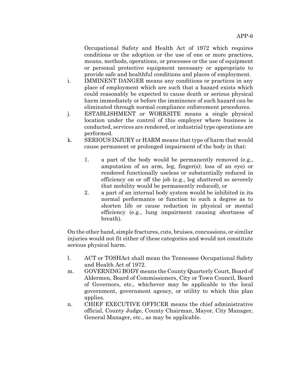Occupational Safety and Health Act of 1972 which requires conditions or the adoption or the use of one or more practices, means, methods, operations, or processes or the use of equipment or personal protective equipment necessary or appropriate to provide safe and healthful conditions and places of employment.

- i. IMMINENT DANGER means any conditions or practices in any place of employment which are such that a hazard exists which could reasonably be expected to cause death or serious physical harm immediately or before the imminence of such hazard can be eliminated through normal compliance enforcement procedures.
- j. ESTABLISHMENT or WORKSITE means a single physical location under the control of this employer where business is conducted, services are rendered, or industrial type operations are performed.
- k. SERIOUS INJURY or HARM means that type of harm that would cause permanent or prolonged impairment of the body in that:
	- 1. a part of the body would be permanently removed (e.g., amputation of an arm, leg, finger(s); loss of an eye) or rendered functionally useless or substantially reduced in efficiency on or off the job (e.g., leg shattered so severely that mobility would be permanently reduced), or
	- 2. a part of an internal body system would be inhibited in its normal performance or function to such a degree as to shorten life or cause reduction in physical or mental efficiency (e.g., lung impairment causing shortness of breath).

On the other hand, simple fractures, cuts, bruises, concussions, or similar injuries would not fit either of these categories and would not constitute serious physical harm.

- l. ACT or TOSHAct shall mean the Tennessee Occupational Safety and Health Act of 1972.
- m. GOVERNING BODY means the County Quarterly Court, Board of Aldermen, Board of Commissioners, City or Town Council, Board of Governors, etc., whichever may be applicable to the local government, government agency, or utility to which this plan applies.
- n. CHIEF EXECUTIVE OFFICER means the chief administrative official, County Judge, County Chairman, Mayor, City Manager, General Manager, etc., as may be applicable.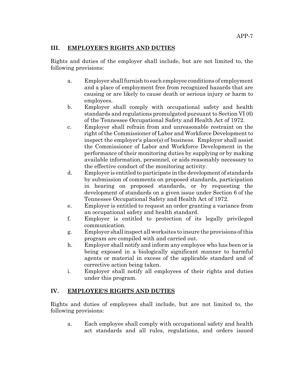## **III. EMPLOYER'S RIGHTS AND DUTIES**

Rights and duties of the employer shall include, but are not limited to, the following provisions:

- a. Employer shall furnish to each employee conditions of employment and a place of employment free from recognized hazards that are causing or are likely to cause death or serious injury or harm to employees.
- b. Employer shall comply with occupational safety and health standards and regulations promulgated pursuant to Section VI (6) of the Tennessee Occupational Safety and Health Act of 1972.
- c. Employer shall refrain from and unreasonable restraint on the right of the Commissioner of Labor and Workforce Development to inspect the employer's place(s) of business. Employer shall assist the Commissioner of Labor and Workforce Development in the performance of their monitoring duties by supplying or by making available information, personnel, or aids reasonably necessary to the effective conduct of the monitoring activity.
- d. Employer is entitled to participate in the development of standards by submission of comments on proposed standards, participation in hearing on proposed standards, or by requesting the development of standards on a given issue under Section 6 of the Tennessee Occupational Safety and Health Act of 1972.
- e. Employer is entitled to request an order granting a variance from an occupational safety and health standard.
- f. Employer is entitled to protection of its legally privileged communication.
- g. Employer shall inspect all worksites to insure the provisions of this program are compiled with and carried out.
- h. Employer shall notify and inform any employee who has been or is being exposed in a biologically significant manner to harmful agents or material in excess of the applicable standard and of corrective action being taken.
- i. Employer shall notify all employees of their rights and duties under this program.

## **IV. EMPLOYEE'S RIGHTS AND DUTIES**

Rights and duties of employees shall include, but are not limited to, the following provisions:

a. Each employee shall comply with occupational safety and health act standards and all rules, regulations, and orders issued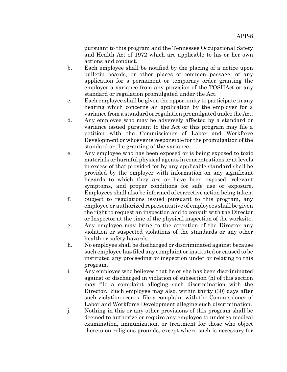pursuant to this program and the Tennessee Occupational Safety and Health Act of 1972 which are applicable to his or her own actions and conduct.

- b. Each employee shall be notified by the placing of a notice upon bulletin boards, or other places of common passage, of any application for a permanent or temporary order granting the employer a variance from any provision of the TOSHAct or any standard or regulation promulgated under the Act.
- c. Each employee shall be given the opportunity to participate in any hearing which concerns an application by the employer for a variance from a standard or regulation promulgated under the Act.
- d. Any employee who may be adversely affected by a standard or variance issued pursuant to the Act or this program may file a petition with the Commissioner of Labor and Workforce Development or whoever is responsible for the promulgation of the standard or the granting of the variance.
- e. Any employee who has been exposed or is being exposed to toxic materials or harmful physical agents in concentrations or at levels in excess of that provided for by any applicable standard shall be provided by the employer with information on any significant hazards to which they are or have been exposed, relevant symptoms, and proper conditions for safe use or exposure. Employees shall also be informed of corrective action being taken.
- f. Subject to regulations issued pursuant to this program, any employee or authorized representative of employees shall be given the right to request an inspection and to consult with the Director or Inspector at the time of the physical inspection of the worksite.
- g. Any employee may bring to the attention of the Director any violation or suspected violations of the standards or any other health or safety hazards.
- h. No employee shall be discharged or discriminated against because such employee has filed any complaint or instituted or caused to be instituted any proceeding or inspection under or relating to this program.
- i. Any employee who believes that he or she has been discriminated against or discharged in violation of subsection (h) of this section may file a complaint alleging such discrimination with the Director. Such employee may also, within thirty (30) days after such violation occurs, file a complaint with the Commissioner of Labor and Workforce Development alleging such discrimination.
- j. Nothing in this or any other provisions of this program shall be deemed to authorize or require any employee to undergo medical examination, immunization, or treatment for those who object thereto on religious grounds, except where such is necessary for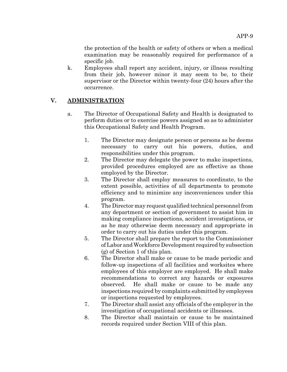the protection of the health or safety of others or when a medical examination may be reasonably required for performance of a specific job.

k. Employees shall report any accident, injury, or illness resulting from their job, however minor it may seem to be, to their supervisor or the Director within twenty-four (24) hours after the occurrence.

## **V. ADMINISTRATION**

- a. The Director of Occupational Safety and Health is designated to perform duties or to exercise powers assigned so as to administer this Occupational Safety and Health Program.
	- 1. The Director may designate person or persons as he deems necessary to carry out his powers, duties, and responsibilities under this program.
	- 2. The Director may delegate the power to make inspections, provided procedures employed are as effective as those employed by the Director.
	- 3. The Director shall employ measures to coordinate, to the extent possible, activities of all departments to promote efficiency and to minimize any inconveniences under this program.
	- 4. The Director may request qualified technical personnel from any department or section of government to assist him in making compliance inspections, accident investigations, or as he may otherwise deem necessary and appropriate in order to carry out his duties under this program.
	- 5. The Director shall prepare the report to the Commissioner of Labor and Workforce Development required by subsection (g) of Section 1 of this plan.
	- 6. The Director shall make or cause to be made periodic and follow-up inspections of all facilities and worksites where employees of this employer are employed. He shall make recommendations to correct any hazards or exposures observed. He shall make or cause to be made any inspections required by complaints submitted by employees or inspections requested by employees.
	- 7. The Director shall assist any officials of the employer in the investigation of occupational accidents or illnesses.
	- 8. The Director shall maintain or cause to be maintained records required under Section VIII of this plan.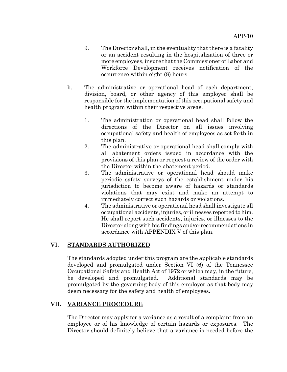- 9. The Director shall, in the eventuality that there is a fatality or an accident resulting in the hospitalization of three or more employees, insure that the Commissioner of Labor and Workforce Development receives notification of the occurrence within eight (8) hours.
- b. The administrative or operational head of each department, division, board, or other agency of this employer shall be responsible for the implementation of this occupational safety and health program within their respective areas.
	- 1. The administration or operational head shall follow the directions of the Director on all issues involving occupational safety and health of employees as set forth in this plan.
	- 2. The administrative or operational head shall comply with all abatement orders issued in accordance with the provisions of this plan or request a review of the order with the Director within the abatement period.
	- 3. The administrative or operational head should make periodic safety surveys of the establishment under his jurisdiction to become aware of hazards or standards violations that may exist and make an attempt to immediately correct such hazards or violations.
	- 4. The administrative or operational head shall investigate all occupational accidents, injuries, or illnesses reported to him. He shall report such accidents, injuries, or illnesses to the Director along with his findings and/or recommendations in accordance with APPENDIX V of this plan.

## **VI. STANDARDS AUTHORIZED**

The standards adopted under this program are the applicable standards developed and promulgated under Section VI (6) of the Tennessee Occupational Safety and Health Act of 1972 or which may, in the future, be developed and promulgated. Additional standards may be promulgated by the governing body of this employer as that body may deem necessary for the safety and health of employees.

#### **VII. VARIANCE PROCEDURE**

The Director may apply for a variance as a result of a complaint from an employee or of his knowledge of certain hazards or exposures. The Director should definitely believe that a variance is needed before the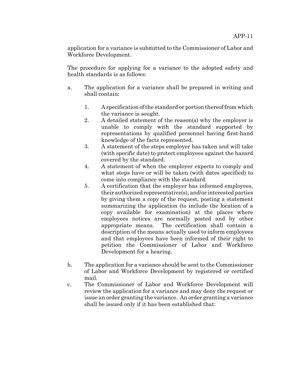application for a variance is submitted to the Commissioner of Labor and Workforce Development.

The procedure for applying for a variance to the adopted safety and health standards is as follows:

- a. The application for a variance shall be prepared in writing and shall contain:
	- 1. A specification of the standard or portion thereof from which the variance is sought.
	- 2. A detailed statement of the reason(s) why the employer is unable to comply with the standard supported by representations by qualified personnel having first-hand knowledge of the facts represented.
	- 3. A statement of the steps employer has taken and will take (with specific date) to protect employees against the hazard covered by the standard.
	- 4. A statement of when the employer expects to comply and what steps have or will be taken (with dates specified) to come into compliance with the standard.
	- 5. A certification that the employer has informed employees, their authorized representative(s), and/or interested parties by giving them a copy of the request, posting a statement summarizing the application (to include the location of a copy available for examination) at the places where employees notices are normally posted and by other appropriate means. The certification shall contain a description of the means actually used to inform employees and that employees have been informed of their right to petition the Commissioner of Labor and Workforce Development for a hearing.
- b. The application for a variance should be sent to the Commissioner of Labor and Workforce Development by registered or certified mail.
- c. The Commissioner of Labor and Workforce Development will review the application for a variance and may deny the request or issue an order granting the variance. An order granting a variance shall be issued only if it has been established that: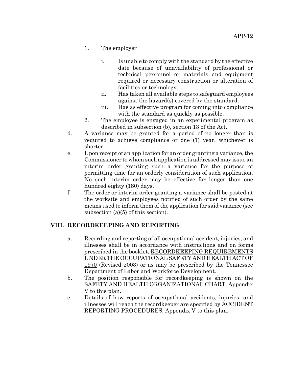- 1. The employer
	- i. Is unable to comply with the standard by the effective date because of unavailability of professional or technical personnel or materials and equipment required or necessary construction or alteration of facilities or technology.
	- ii. Has taken all available steps to safeguard employees against the hazard(s) covered by the standard.
	- iii. Has as effective program for coming into compliance with the standard as quickly as possible.
- 2. The employee is engaged in an experimental program as described in subsection (b), section 13 of the Act.
- d. A variance may be granted for a period of no longer than is required to achieve compliance or one (1) year, whichever is shorter.
- e. Upon receipt of an application for an order granting a variance, the Commissioner to whom such application is addressed may issue an interim order granting such a variance for the purpose of permitting time for an orderly consideration of such application. No such interim order may be effective for longer than one hundred eighty (180) days.
- f. The order or interim order granting a variance shall be posted at the worksite and employees notified of such order by the same means used to inform them of the application for said variance (see subsection (a)(5) of this section).

#### **VIII. RECORDKEEPING AND REPORTING**

- a. Recording and reporting of all occupational accident, injuries, and illnesses shall be in accordance with instructions and on forms prescribed in the booklet, RECORDKEEPING REQUIREMENTS UNDER THE OCCUPATIONAL SAFETY AND HEALTH ACT OF 1970 (Revised 2003) or as may be prescribed by the Tennessee Department of Labor and Workforce Development.
- b. The position responsible for recordkeeping is shown on the SAFETY AND HEALTH ORGANIZATIONAL CHART, Appendix V to this plan.
- c. Details of how reports of occupational accidents, injuries, and illnesses will reach the recordkeeper are specified by ACCIDENT REPORTING PROCEDURES, Appendix V to this plan.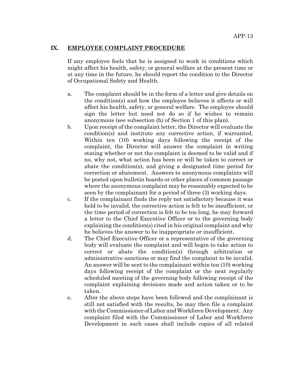#### **IX. EMPLOYEE COMPLAINT PROCEDURE**

If any employee feels that he is assigned to work in conditions which might affect his health, safety, or general welfare at the present time or at any time in the future, he should report the condition to the Director of Occupational Safety and Health.

- a. The complaint should be in the form of a letter and give details on the condition(s) and how the employee believes it affects or will affect his health, safety, or general welfare. The employee should sign the letter but need not do so if he wishes to remain anonymous (see subsection (h) of Section 1 of this plan).
- b. Upon receipt of the complaint letter, the Director will evaluate the condition(s) and institute any corrective action, if warranted. Within ten (10) working days following the receipt of the complaint, the Director will answer the complaint in writing stating whether or not the complaint is deemed to be valid and if no, why not, what action has been or will be taken to correct or abate the condition(s), and giving a designated time period for correction or abatement. Answers to anonymous complaints will be posted upon bulletin boards or other places of common passage where the anonymous complaint may be reasonably expected to be seen by the complainant for a period of three (3) working days.
- c. If the complainant finds the reply not satisfactory because it was held to be invalid, the corrective action is felt to be insufficient, or the time period of correction is felt to be too long, he may forward a letter to the Chief Executive Officer or to the governing body explaining the condition(s) cited in his original complaint and why he believes the answer to be inappropriate or insufficient.
- d. The Chief Executive Officer or a representative of the governing body will evaluate the complaint and will begin to take action to correct or abate the condition(s) through arbitration or administrative sanctions or may find the complaint to be invalid. An answer will be sent to the complainant within ten (10) working days following receipt of the complaint or the next regularly scheduled meeting of the governing body following receipt of the complaint explaining decisions made and action taken or to be taken.
- e. After the above steps have been followed and the complainant is still not satisfied with the results, he may then file a complaint with the Commissioner of Labor and Workforce Development. Any complaint filed with the Commissioner of Labor and Workforce Development in such cases shall include copies of all related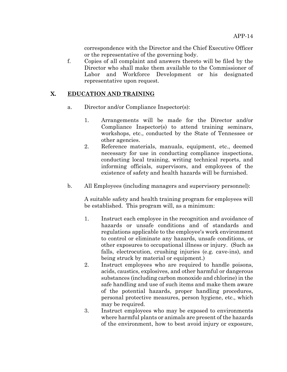correspondence with the Director and the Chief Executive Officer or the representative of the governing body.

f. Copies of all complaint and answers thereto will be filed by the Director who shall make them available to the Commissioner of Labor and Workforce Development or his designated representative upon request.

## **X. EDUCATION AND TRAINING**

- a. Director and/or Compliance Inspector(s):
	- 1. Arrangements will be made for the Director and/or Compliance Inspector(s) to attend training seminars, workshops, etc., conducted by the State of Tennessee or other agencies.
	- 2. Reference materials, manuals, equipment, etc., deemed necessary for use in conducting compliance inspections, conducting local training, writing technical reports, and informing officials, supervisors, and employees of the existence of safety and health hazards will be furnished.
- b. All Employees (including managers and supervisory personnel):

A suitable safety and health training program for employees will be established. This program will, as a minimum:

- 1. Instruct each employee in the recognition and avoidance of hazards or unsafe conditions and of standards and regulations applicable to the employee's work environment to control or eliminate any hazards, unsafe conditions, or other exposures to occupational illness or injury. (Such as falls, electrocution, crushing injuries (e.g. cave-ins), and being struck by material or equipment.)
- 2. Instruct employees who are required to handle poisons, acids, caustics, explosives, and other harmful or dangerous substances (including carbon monoxide and chlorine) in the safe handling and use of such items and make them aware of the potential hazards, proper handling procedures, personal protective measures, person hygiene, etc., which may be required.
- 3. Instruct employees who may be exposed to environments where harmful plants or animals are present of the hazards of the environment, how to best avoid injury or exposure,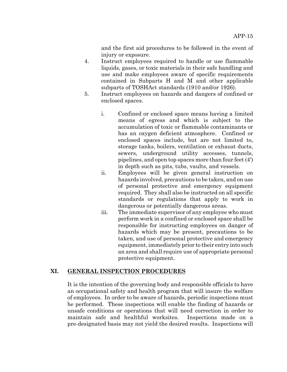and the first aid procedures to be followed in the event of injury or exposure.

- 4. Instruct employees required to handle or use flammable liquids, gases, or toxic materials in their safe handling and use and make employees aware of specific requirements contained in Subparts H and M and other applicable subparts of TOSHAct standards (1910 and/or 1926).
- 5. Instruct employees on hazards and dangers of confined or enclosed spaces.
	- i. Confined or enclosed space means having a limited means of egress and which is subject to the accumulation of toxic or flammable contaminants or has an oxygen deficient atmosphere. Confined or enclosed spaces include, but are not limited to, storage tanks, boilers, ventilation or exhaust ducts, sewers, underground utility accesses, tunnels, pipelines, and open top spaces more than four feet (4') in depth such as pits, tubs, vaults, and vessels.
	- ii. Employees will be given general instruction on hazards involved, precautions to be taken, and on use of personal protective and emergency equipment required. They shall also be instructed on all specific standards or regulations that apply to work in dangerous or potentially dangerous areas.
	- iii. The immediate supervisor of any employee who must perform work in a confined or enclosed space shall be responsible for instructing employees on danger of hazards which may be present, precautions to be taken, and use of personal protective and emergency equipment, immediately prior to their entry into such an area and shall require use of appropriate personal protective equipment.

## **XI. GENERAL INSPECTION PROCEDURES**

It is the intention of the governing body and responsible officials to have an occupational safety and health program that will insure the welfare of employees. In order to be aware of hazards, periodic inspections must be performed. These inspections will enable the finding of hazards or unsafe conditions or operations that will need correction in order to maintain safe and healthful worksites. Inspections made on a pre-designated basis may not yield the desired results. Inspections will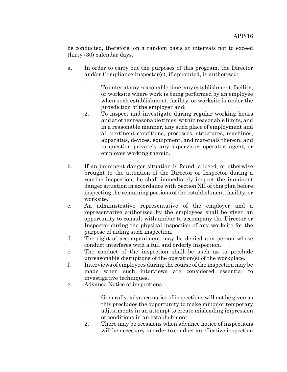be conducted, therefore, on a random basis at intervals not to exceed thirty (30) calendar days.

- a. In order to carry out the purposes of this program, the Director and/or Compliance Inspector(s), if appointed, is authorized:
	- 1. To enter at any reasonable time, any establishment, facility, or worksite where work is being performed by an employee when such establishment, facility, or worksite is under the jurisdiction of the employer and;
	- 2. To inspect and investigate during regular working hours and at other reasonable times, within reasonable limits, and in a reasonable manner, any such place of employment and all pertinent conditions, processes, structures, machines, apparatus, devices, equipment, and materials therein, and to question privately any supervisor, operator, agent, or employee working therein.
- b. If an imminent danger situation is found, alleged, or otherwise brought to the attention of the Director or Inspector during a routine inspection, he shall immediately inspect the imminent danger situation in accordance with Section XII of this plan before inspecting the remaining portions of the establishment, facility, or worksite.
- c. An administrative representative of the employer and a representative authorized by the employees shall be given an opportunity to consult with and/or to accompany the Director or Inspector during the physical inspection of any worksite for the purpose of aiding such inspection.
- d. The right of accompaniment may be denied any person whose conduct interferes with a full and orderly inspection.
- e. The conduct of the inspection shall be such as to preclude unreasonable disruptions of the operation(s) of the workplace.
- f. Interviews of employees during the course of the inspection may be made when such interviews are considered essential to investigative techniques.
- g. Advance Notice of inspections
	- 1. Generally, advance notice of inspections will not be given as this precludes the opportunity to make minor or temporary adjustments in an attempt to create misleading impression of conditions in an establishment.
	- 2. There may be occasions when advance notice of inspections will be necessary in order to conduct an effective inspection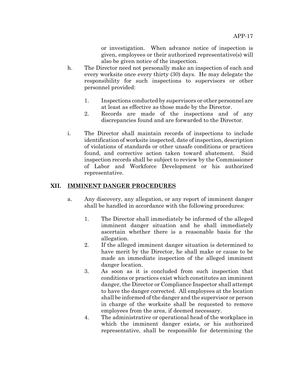or investigation. When advance notice of inspection is given, employees or their authorized representative(s) will also be given notice of the inspection.

- h. The Director need not personally make an inspection of each and every worksite once every thirty (30) days. He may delegate the responsibility for such inspections to supervisors or other personnel provided:
	- 1. Inspections conducted by supervisors or other personnel are at least as effective as those made by the Director.
	- 2. Records are made of the inspections and of any discrepancies found and are forwarded to the Director.
- i. The Director shall maintain records of inspections to include identification of worksite inspected, date of inspection, description of violations of standards or other unsafe conditions or practices found, and corrective action taken toward abatement. Said inspection records shall be subject to review by the Commissioner of Labor and Workforce Development or his authorized representative.

## **XII. IMMINENT DANGER PROCEDURES**

- a. Any discovery, any allegation, or any report of imminent danger shall be handled in accordance with the following procedures:
	- 1. The Director shall immediately be informed of the alleged imminent danger situation and he shall immediately ascertain whether there is a reasonable basis for the allegation.
	- 2. If the alleged imminent danger situation is determined to have merit by the Director, he shall make or cause to be made an immediate inspection of the alleged imminent danger location.
	- 3. As soon as it is concluded from such inspection that conditions or practices exist which constitutes an imminent danger, the Director or Compliance Inspector shall attempt to have the danger corrected. All employees at the location shall be informed of the danger and the supervisor or person in charge of the worksite shall be requested to remove employees from the area, if deemed necessary.
	- 4. The administrative or operational head of the workplace in which the imminent danger exists, or his authorized representative, shall be responsible for determining the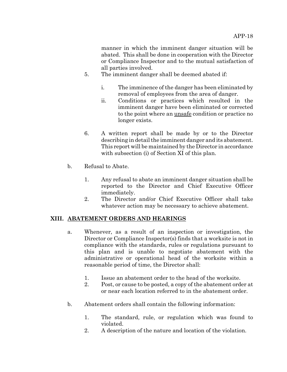manner in which the imminent danger situation will be abated. This shall be done in cooperation with the Director or Compliance Inspector and to the mutual satisfaction of all parties involved.

- 5. The imminent danger shall be deemed abated if:
	- i. The imminence of the danger has been eliminated by removal of employees from the area of danger.
	- ii. Conditions or practices which resulted in the imminent danger have been eliminated or corrected to the point where an unsafe condition or practice no longer exists.
- 6. A written report shall be made by or to the Director describing in detail the imminent danger and its abatement. This report will be maintained by the Director in accordance with subsection (i) of Section XI of this plan.
- b. Refusal to Abate.
	- 1. Any refusal to abate an imminent danger situation shall be reported to the Director and Chief Executive Officer immediately.
	- 2. The Director and/or Chief Executive Officer shall take whatever action may be necessary to achieve abatement.

## **XIII. ABATEMENT ORDERS AND HEARINGS**

- a. Whenever, as a result of an inspection or investigation, the Director or Compliance Inspector(s) finds that a worksite is not in compliance with the standards, rules or regulations pursuant to this plan and is unable to negotiate abatement with the administrative or operational head of the worksite within a reasonable period of time, the Director shall:
	- 1. Issue an abatement order to the head of the worksite.
	- 2. Post, or cause to be posted, a copy of the abatement order at or near each location referred to in the abatement order.
- b. Abatement orders shall contain the following information:
	- 1. The standard, rule, or regulation which was found to violated.
	- 2. A description of the nature and location of the violation.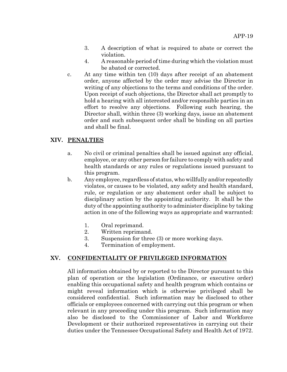- 3. A description of what is required to abate or correct the violation.
- 4. A reasonable period of time during which the violation must be abated or corrected.
- c. At any time within ten (10) days after receipt of an abatement order, anyone affected by the order may advise the Director in writing of any objections to the terms and conditions of the order. Upon receipt of such objections, the Director shall act promptly to hold a hearing with all interested and/or responsible parties in an effort to resolve any objections. Following such hearing, the Director shall, within three (3) working days, issue an abatement order and such subsequent order shall be binding on all parties and shall be final.

## **XIV. PENALTIES**

- a. No civil or criminal penalties shall be issued against any official, employee, or any other person for failure to comply with safety and health standards or any rules or regulations issued pursuant to this program.
- b. Any employee, regardless of status, who willfully and/or repeatedly violates, or causes to be violated, any safety and health standard, rule, or regulation or any abatement order shall be subject to disciplinary action by the appointing authority. It shall be the duty of the appointing authority to administer discipline by taking action in one of the following ways as appropriate and warranted:
	- 1. Oral reprimand.
	- 2. Written reprimand.
	- 3. Suspension for three (3) or more working days.
	- 4. Termination of employment.

## **XV. CONFIDENTIALITY OF PRIVILEGED INFORMATION**

All information obtained by or reported to the Director pursuant to this plan of operation or the legislation (Ordinance, or executive order) enabling this occupational safety and health program which contains or might reveal information which is otherwise privileged shall be considered confidential. Such information may be disclosed to other officials or employees concerned with carrying out this program or when relevant in any proceeding under this program. Such information may also be disclosed to the Commissioner of Labor and Workforce Development or their authorized representatives in carrying out their duties under the Tennessee Occupational Safety and Health Act of 1972.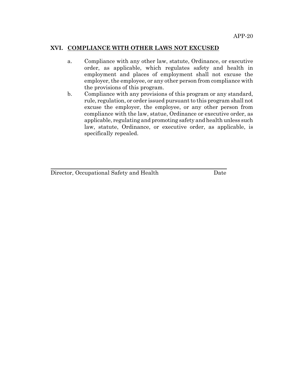#### **XVI. COMPLIANCE WITH OTHER LAWS NOT EXCUSED**

- a. Compliance with any other law, statute, Ordinance, or executive order, as applicable, which regulates safety and health in employment and places of employment shall not excuse the employer, the employee, or any other person from compliance with the provisions of this program.
- b. Compliance with any provisions of this program or any standard, rule, regulation, or order issued pursuant to this program shall not excuse the employer, the employee, or any other person from compliance with the law, statue, Ordinance or executive order, as applicable, regulating and promoting safety and health unless such law, statute, Ordinance, or executive order, as applicable, is specifically repealed.

Director, Occupational Safety and Health Date

 $\overline{a}$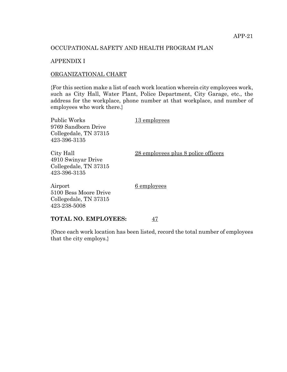#### OCCUPATIONAL SAFETY AND HEALTH PROGRAM PLAN

#### APPENDIX I

#### ORGANIZATIONAL CHART

{For this section make a list of each work location wherein city employees work, such as City Hall, Water Plant, Police Department, City Garage, etc., the address for the workplace, phone number at that workplace, and number of employees who work there.}

| Public Works<br>9769 Sandborn Drive<br>Collegedale, TN 37315<br>423-396-3135 | 13 employees                        |
|------------------------------------------------------------------------------|-------------------------------------|
| City Hall<br>4910 Swinyar Drive<br>Collegedale, TN 37315<br>423-396-3135     | 28 employees plus 8 police officers |
| Airport<br>5100 Bess Moore Drive                                             | 6 employees                         |

#### **TOTAL NO. EMPLOYEES:** 47

Collegedale, TN 37315

423-238-5008

{Once each work location has been listed, record the total number of employees that the city employs.}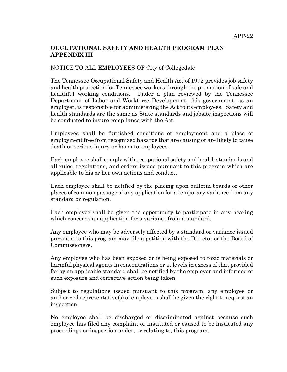## **OCCUPATIONAL SAFETY AND HEALTH PROGRAM PLAN APPENDIX III**

#### NOTICE TO ALL EMPLOYEES OF City of Collegedale

The Tennessee Occupational Safety and Health Act of 1972 provides job safety and health protection for Tennessee workers through the promotion of safe and healthful working conditions. Under a plan reviewed by the Tennessee Department of Labor and Workforce Development, this government, as an employer, is responsible for administering the Act to its employees. Safety and health standards are the same as State standards and jobsite inspections will be conducted to insure compliance with the Act.

Employees shall be furnished conditions of employment and a place of employment free from recognized hazards that are causing or are likely to cause death or serious injury or harm to employees.

Each employee shall comply with occupational safety and health standards and all rules, regulations, and orders issued pursuant to this program which are applicable to his or her own actions and conduct.

Each employee shall be notified by the placing upon bulletin boards or other places of common passage of any application for a temporary variance from any standard or regulation.

Each employee shall be given the opportunity to participate in any hearing which concerns an application for a variance from a standard.

Any employee who may be adversely affected by a standard or variance issued pursuant to this program may file a petition with the Director or the Board of Commissioners.

Any employee who has been exposed or is being exposed to toxic materials or harmful physical agents in concentrations or at levels in excess of that provided for by an applicable standard shall be notified by the employer and informed of such exposure and corrective action being taken.

Subject to regulations issued pursuant to this program, any employee or authorized representative(s) of employees shall be given the right to request an inspection.

No employee shall be discharged or discriminated against because such employee has filed any complaint or instituted or caused to be instituted any proceedings or inspection under, or relating to, this program.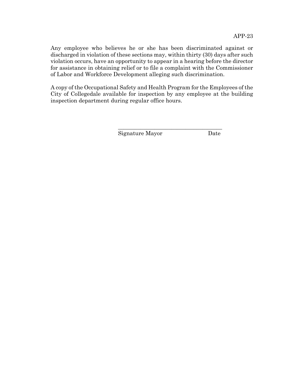Any employee who believes he or she has been discriminated against or discharged in violation of these sections may, within thirty (30) days after such violation occurs, have an opportunity to appear in a hearing before the director for assistance in obtaining relief or to file a complaint with the Commissioner of Labor and Workforce Development alleging such discrimination.

A copy of the Occupational Safety and Health Program for the Employees of the City of Collegedale available for inspection by any employee at the building inspection department during regular office hours.

\_\_\_\_\_\_\_\_\_\_\_\_\_\_\_\_\_\_\_\_\_\_\_\_\_\_\_\_\_\_\_\_\_\_\_\_\_

Signature Mayor Date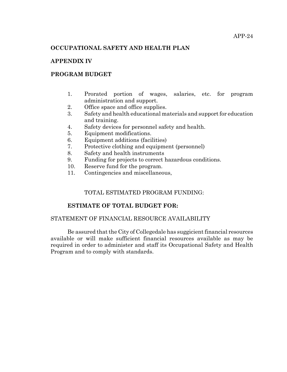#### **OCCUPATIONAL SAFETY AND HEALTH PLAN**

#### **APPENDIX IV**

#### **PROGRAM BUDGET**

- 1. Prorated portion of wages, salaries, etc. for program administration and support.
- 2. Office space and office supplies.
- 3. Safety and health educational materials and support for education and training.
- 4. Safety devices for personnel safety and health.
- 5. Equipment modifications.
- 6. Equipment additions (facilities)
- 7. Protective clothing and equipment (personnel)
- 8. Safety and health instruments
- 9. Funding for projects to correct hazardous conditions.
- 10. Reserve fund for the program.
- 11. Contingencies and miscellaneous,

#### TOTAL ESTIMATED PROGRAM FUNDING:

#### **ESTIMATE OF TOTAL BUDGET FOR:**

#### STATEMENT OF FINANCIAL RESOURCE AVAILABILITY

Be assured that the City of Collegedale has suggicient financial resources available or will make sufficient financial resources available as may be required in order to administer and staff its Occupational Safety and Health Program and to comply with standards.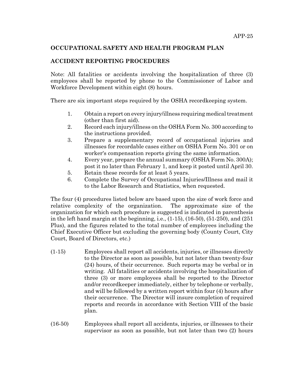#### **OCCUPATIONAL SAFETY AND HEALTH PROGRAM PLAN**

## **ACCIDENT REPORTING PROCEDURES**

Note: All fatalities or accidents involving the hospitalization of three (3) employees shall be reported by phone to the Commissioner of Labor and Workforce Development within eight (8) hours.

There are six important steps required by the OSHA recordkeeping system.

- 1. Obtain a report on every injury/illness requiring medical treatment (other than first aid).
- 2. Record each injury/illness on the OSHA Form No. 300 according to the instructions provided.
- 3. Prepare a supplementary record of occupational injuries and illnesses for recordable cases either on OSHA Form No. 301 or on worker's compensation reports giving the same information.
- 4. Every year, prepare the annual summary (OSHA Form No. 300A); post it no later than February 1, and keep it posted until April 30.
- 5. Retain these records for at least 5 years.
- 6. Complete the Survey of Occupational Injuries/Illness and mail it to the Labor Research and Statistics, when requested.

The four (4) procedures listed below are based upon the size of work force and relative complexity of the organization. The approximate size of the organization for which each procedure is suggested is indicated in parenthesis in the left hand margin at the beginning, i.e.,  $(1-15)$ ,  $(16-50)$ ,  $(51-250)$ , and  $(251)$ Plus), and the figures related to the total number of employees including the Chief Executive Officer but excluding the governing body (County Court, City Court, Board of Directors, etc.)

- (1-15) Employees shall report all accidents, injuries, or illnesses directly to the Director as soon as possible, but not later than twenty-four (24) hours, of their occurrence. Such reports may be verbal or in writing. All fatalities or accidents involving the hospitalization of three (3) or more employees shall be reported to the Director and/or recordkeeper immediately, either by telephone or verbally, and will be followed by a written report within four (4) hours after their occurrence. The Director will insure completion of required reports and records in accordance with Section VIII of the basic plan.
- (16-50) Employees shall report all accidents, injuries, or illnesses to their supervisor as soon as possible, but not later than two (2) hours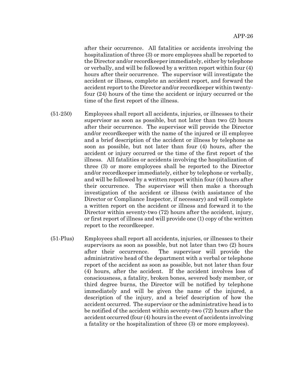after their occurrence. All fatalities or accidents involving the hospitalization of three (3) or more employees shall be reported to the Director and/or recordkeeper immediately, either by telephone or verbally, and will be followed by a written report within four (4) hours after their occurrence. The supervisor will investigate the accident or illness, complete an accident report, and forward the accident report to the Director and/or recordkeeper within twentyfour (24) hours of the time the accident or injury occurred or the time of the first report of the illness.

- (51-250) Employees shall report all accidents, injuries, or illnesses to their supervisor as soon as possible, but not later than two (2) hours after their occurrence. The supervisor will provide the Director and/or recordkeeper with the name of the injured or ill employee and a brief description of the accident or illness by telephone as soon as possible, but not later than four (4) hours, after the accident or injury occurred or the time of the first report of the illness. All fatalities or accidents involving the hospitalization of three (3) or more employees shall be reported to the Director and/or recordkeeper immediately, either by telephone or verbally, and will be followed by a written report within four (4) hours after their occurrence. The supervisor will then make a thorough investigation of the accident or illness (with assistance of the Director or Compliance Inspector, if necessary) and will complete a written report on the accident or illness and forward it to the Director within seventy-two (72) hours after the accident, injury, or first report of illness and will provide one (1) copy of the written report to the recordkeeper.
- (51-Plus) Employees shall report all accidents, injuries, or illnesses to their supervisors as soon as possible, but not later than two (2) hours after their occurrence. The supervisor will provide the administrative head of the department with a verbal or telephone report of the accident as soon as possible, but not later than four (4) hours, after the accident. If the accident involves loss of consciousness, a fatality, broken bones, severed body member, or third degree burns, the Director will be notified by telephone immediately and will be given the name of the injured, a description of the injury, and a brief description of how the accident occurred. The supervisor or the administrative head is to be notified of the accident within seventy-two (72) hours after the accident occurred (four (4) hours in the event of accidents involving a fatality or the hospitalization of three (3) or more employees).